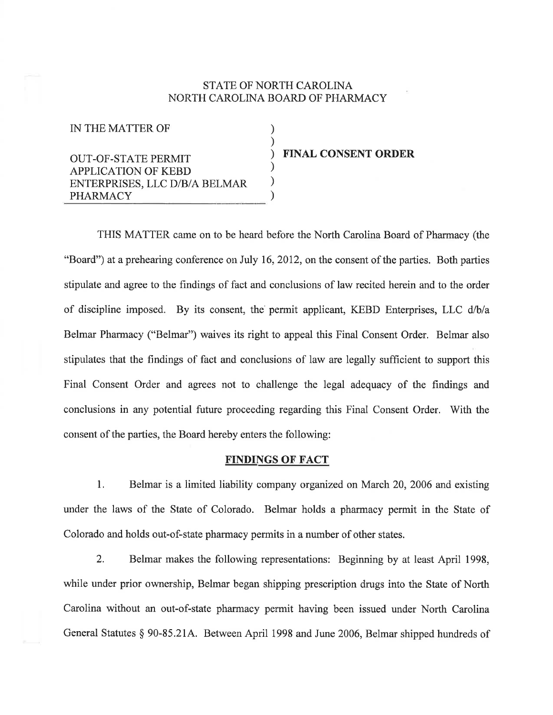## STATE OF NORTH CAROLINA NORTH CAROLINA BOARD OF PHARMACY

) ) ) ) ) )

IN THE MATTER OF

OUT-OF-STATE PERMIT APPLICATION OF KEBD ENTERPRISES, LLC D/B/A BELMAR PHARMACY

FINAL CONSENT ORDER

THIS MATTER came on to be heard before the North Carolina Board of Pharmacy (the "Board") at a prehearing conference on July 16, 2012, on the consent of the parties. Both parties stipulate and agree to the findings of fact and conclusions of law recited herein and to the order of discipline imposed. By its consent, the permit applicant, KEBD Enterprises, LLC d/b/a Belmar Pharmacy ("Belmar") waives its right to appeal this Final Consent Order. Belmar also stipulates that the findings of fact and conclusions of law are legally sufficient to support this Final Consent Order and agrees not to challenge the legal adequacy of the findings and conclusions in any potential future proceeding regarding this Final Consent Order. 'With the corsent of the parties, the Board hereby enters the following:

## FINDINGS OF FACT

l. Belmar is a limited liability company orgarized on March 20,2006 and existing under the laws of the State of Colorado. Belmar holds a pharmacy permit in the State of Colorado and holds out-of-state pharmacy permits in a number of other states.

2. Belmar makes the following representations: Beginning by at least April 1998, while under prior ownership, Belmar began shipping prescription drugs into the State of North Carolina without an out-of-state pharmacy permit having been issued under North Carolina General Statutes \$ 90-85.214. Between April 1998 and June 2006, Belmar shipped hundreds of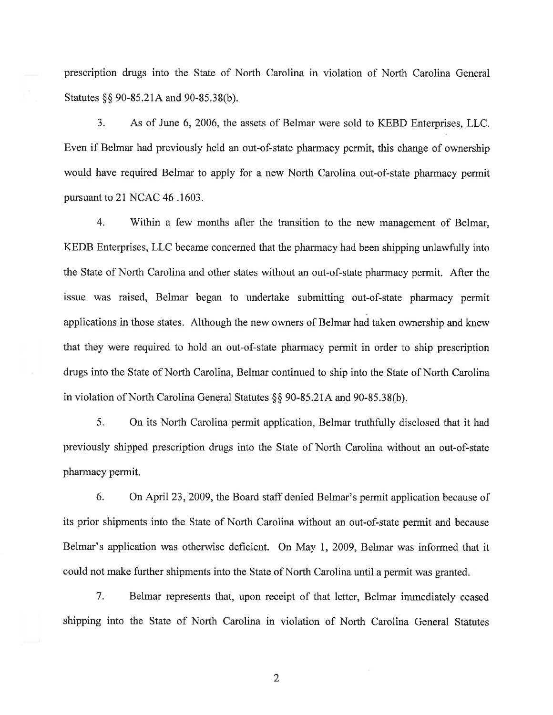prescription drugs into the State of North Carolina in violation of North Carolina General Statutes §§ 90-85.21A and 90-85.38(b).

3. As of June 6, 2006, the assets of Belmar were sold to KEBD Enterprises, LLC. Even if Belmar had previously held an out-of-state pharmacy permit, this change of ownership would have required Belmar to apply for a new North Carolina out-of-state pharmacy permit pursuant to 21 NCAC 46 .1603.

4. Within a few months after the transition to the new management of Belmar, KEDB Enterprises, LLC became concerned that the pharmacy had been shipping unlawfully into the State of North Carolina and other states without an out-of-state pharmacy permit. After the issue was raised, Belmar began to undertake submitting out-of-state pharmacy permit applications in those states. Although the new owners of Belmar had taken ownership and knew that they were required to hold an out-of-state pharmacy permit in order to ship prescription drugs into the State of North Carolina, Belmar continued to ship into the State of North Carolina in violation of North Carolina General Statutes §§ 90-85.21A and 90-85.38(b).

5. On its North Carolina permit application, Belmar truthfully disclosed that it had previously shipped prescription drugs into the State of North Carolina without an out-of-state pharmacy permit.

6. On April 23,2009, the Board staff denied Belmar's permit application because of its prior shipments into the State of North Carolina without an out-of-state permit and because Belmar's application was otherwise deficient. On May 1, 2009, Belmar was informed that it could not make further shipments into the State of North Carolina until a permit was granted.

7. Belmar represents that, upon receipt of that letter, Belmar immediately ceased shipping into the State of North Carolina in violation of North Carolina General Statutes

2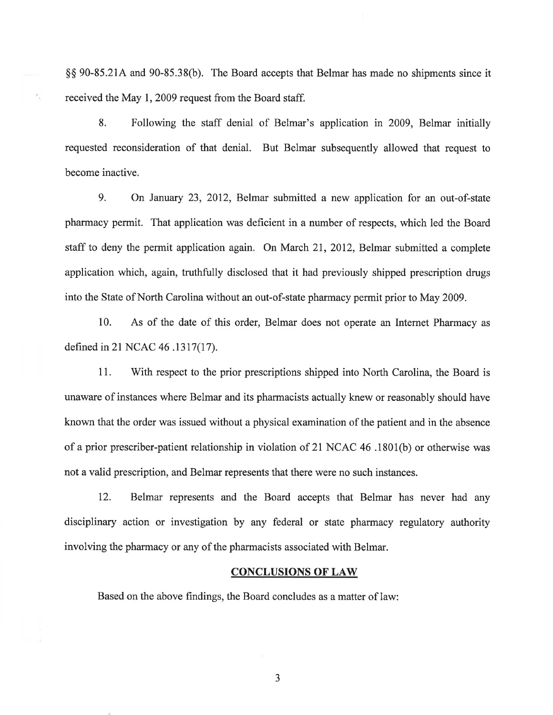\$\$ 90-85.214 and 90-85.38(b). The Board accepts that Belmar has made no shipments since it received the May 1,2009 request from the Board staff.

٩,

8. Following the staff denial of Belmar's application in 2009, Belmar initially requested reconsideration of that denial. But Belmar subsequently allowed that request to become inactive.

9. On January 23, 2012, Belmar submitted a new application for an out-of-state pharmacy permit. That application was deficient in a number of respects, which led the Board staff to deny the permit application again. On March 21, 2012, Belmar submitted a complete application which, again, truthfully disclosed that it had previously shipped prescription drugs into the State of North Carolina without an out-of-state pharmacy permit prior to May 2009.

10. As of the date of this order, Belmar does not operate an Internet Pharmacy as defined in 2l NCAC 46 .1317(17).

11. With respect to the prior prescriptions shipped into North Carolina, the Board is unaware of instances where Belmar and its pharmacists actually knew or reasonably should have known that the order was issued without a physical examination of the patient and in the absence of a prior prescriber-patient relationship in violation of 21 NCAC 46 .1801(b) or otherwise was not a valid prescription, and Belmar represents that there were no such instances.

12. Belmar represents and the Board accepts that Belmar has never had any disciplinary action or investigation by any federal or state pharmacy regulatory authority involving the pharmacy or any of the pharmacists associated with Belmar.

## CONCLUSIONS OF LAW

Based on the above findings, the Board concludes as a matter of law:

3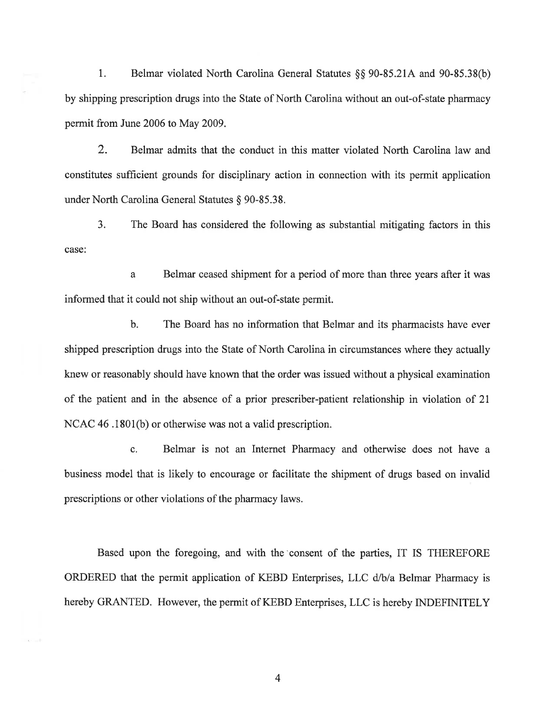l. Belmar violated North Carolina General Statutes \$\$ 90-85.214 and 90-85.38(b) by shipping prescription drugs into the State of North Carolina without an out-of-state pharmacy permit from June 2006 to May 2009.

2. Belmar admits that the conduct in this matter violated North Carolina law and constitutes sufficient grounds for disciplinary action in connection with its permit application under North Carolina General Statutes \$ 90-85.38.

3. The Board has considered the following as substantial mitigating factors in this case:

a Belmar ceased shipment for a period of more than three years after it was informed that it could not ship without an out-of-state permit.

b. The Board has no information that Belmar and its pharmacists have ever shipped prescription drugs into the State of North Carolina in circumstances where they actually knew or reasonably should have known that the order was issued without a physical examination of the patient and in the absence of a prior prescriber-patient relationship in violation of <sup>21</sup> NCAC 46 .1801(b) or otherwise was not a valid prescription.

c. Belmar is not an Internet Pharmacy and otherwise does not have <sup>a</sup> business model that is likely to encourage or facilitate the shipment of drugs based on invalid prescriptions or other violations of the pharmacy laws.

Based upon the foregoing, and with the'consent of the parties, IT IS THEREFORE ORDERED that the permit application of KEBD Enterprises, LLC d/b/a Belmar Pharmacy is hereby GRANTED. However, the permit of KEBD Enterprises, LLC is hereby INDEFINITELY

4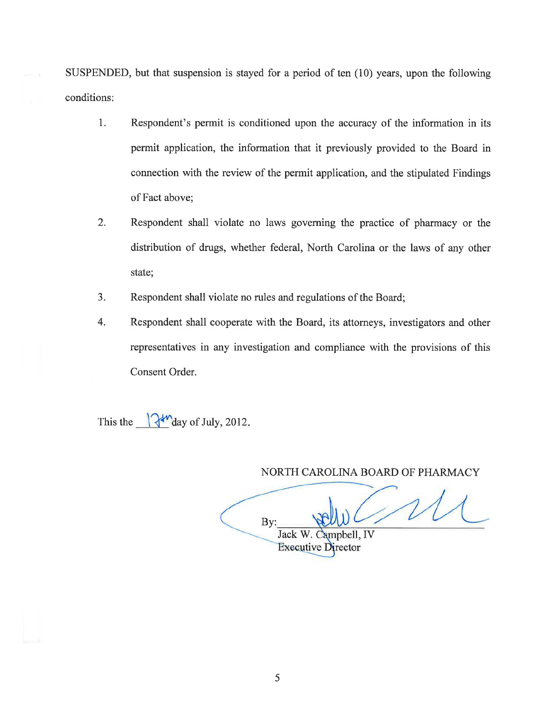SUSPENDED, but that suspension is stayed for a period of ten  $(10)$  years, upon the following conditions:

- 1. Respondent's permit is conditioned upon the accuracy of the information in its permit application, the information that it previously provided to the Board in connection with the review of the permit application, and the stipulated Findings of Fact above;
- 2. Respondent shall violate no laws governing the practice of pharmacy or the distribution of drugs, whether federal, North Carolina or the laws of any other state;
- 3. Respondent shall violate no rules and regulations of the Board;
- 4. Respondent shall cooperate with the Board, its attomeys, investigators and other representatives in any investigation and compliance with the provisions of this Consent Order.

This the  $\sqrt{\frac{4M}{\text{day}}}$  of July, 2012.

NORTH CAROLINA BOARD OF PHARMACY

By: Jack W. Campbell, IV

**Executive Director**